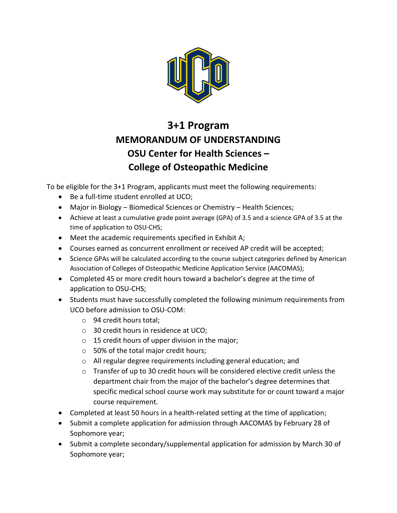

## **3+1 Program MEMORANDUM OF UNDERSTANDING OSU Center for Health Sciences – College of Osteopathic Medicine**

To be eligible for the 3+1 Program, applicants must meet the following requirements:

- Be a full-time student enrolled at UCO;
- Major in Biology Biomedical Sciences or Chemistry Health Sciences;
- Achieve at least a cumulative grade point average (GPA) of 3.5 and a science GPA of 3.5 at the time of application to OSU-CHS;
- Meet the academic requirements specified in Exhibit A;
- Courses earned as concurrent enrollment or received AP credit will be accepted;
- Science GPAs will be calculated according to the course subject categories defined by American Association of Colleges of Osteopathic Medicine Application Service (AACOMAS);
- Completed 45 or more credit hours toward a bachelor's degree at the time of application to OSU-CHS;
- Students must have successfully completed the following minimum requirements from UCO before admission to OSU-COM:
	- o 94 credit hours total;
	- o 30 credit hours in residence at UCO;
	- $\circ$  15 credit hours of upper division in the major;
	- o 50% of the total major credit hours;
	- o All regular degree requirements including general education; and
	- $\circ$  Transfer of up to 30 credit hours will be considered elective credit unless the department chair from the major of the bachelor's degree determines that specific medical school course work may substitute for or count toward a major course requirement.
- Completed at least 50 hours in a health-related setting at the time of application;
- Submit a complete application for admission through AACOMAS by February 28 of Sophomore year;
- Submit a complete secondary/supplemental application for admission by March 30 of Sophomore year;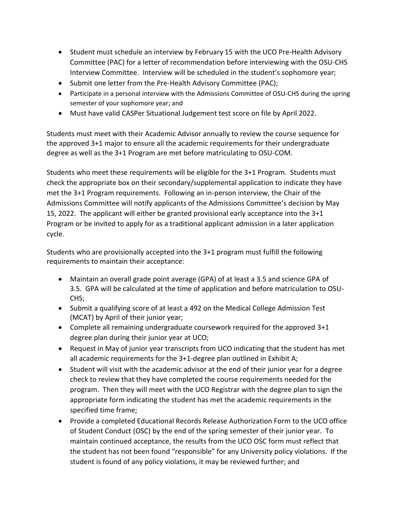- Student must schedule an interview by February 15 with the UCO Pre-Health Advisory Committee (PAC) for a letter of recommendation before interviewing with the OSU-CHS Interview Committee. Interview will be scheduled in the student's sophomore year;
- Submit one letter from the Pre-Health Advisory Committee (PAC);
- Participate in a personal interview with the Admissions Committee of OSU-CHS during the spring semester of your sophomore year; and
- Must have valid CASPer Situational Judgement test score on file by April 2022.

Students must meet with their Academic Advisor annually to review the course sequence for the approved 3+1 major to ensure all the academic requirements for their undergraduate degree as well as the 3+1 Program are met before matriculating to OSU-COM.

Students who meet these requirements will be eligible for the 3+1 Program. Students must check the appropriate box on their secondary/supplemental application to indicate they have met the 3+1 Program requirements. Following an in-person interview, the Chair of the Admissions Committee will notify applicants of the Admissions Committee's decision by May 15, 2022. The applicant will either be granted provisional early acceptance into the 3+1 Program or be invited to apply for as a traditional applicant admission in a later application cycle.

Students who are provisionally accepted into the 3+1 program must fulfill the following requirements to maintain their acceptance:

- Maintain an overall grade point average (GPA) of at least a 3.5 and science GPA of 3.5. GPA will be calculated at the time of application and before matriculation to OSU-CHS;
- Submit a qualifying score of at least a 492 on the Medical College Admission Test (MCAT) by April of their junior year;
- Complete all remaining undergraduate coursework required for the approved 3+1 degree plan during their junior year at UCO;
- Request in May of junior year transcripts from UCO indicating that the student has met all academic requirements for the 3+1-degree plan outlined in Exhibit A;
- Student will visit with the academic advisor at the end of their junior year for a degree check to review that they have completed the course requirements needed for the program. Then they will meet with the UCO Registrar with the degree plan to sign the appropriate form indicating the student has met the academic requirements in the specified time frame;
- Provide a completed Educational Records Release Authorization Form to the UCO office of Student Conduct (OSC) by the end of the spring semester of their junior year. To maintain continued acceptance, the results from the UCO OSC form must reflect that the student has not been found "responsible" for any University policy violations. If the student is found of any policy violations, it may be reviewed further; and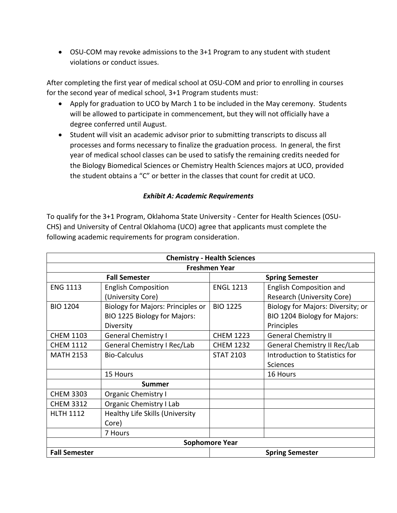• OSU-COM may revoke admissions to the 3+1 Program to any student with student violations or conduct issues.

After completing the first year of medical school at OSU-COM and prior to enrolling in courses for the second year of medical school, 3+1 Program students must:

- Apply for graduation to UCO by March 1 to be included in the May ceremony. Students will be allowed to participate in commencement, but they will not officially have a degree conferred until August.
- Student will visit an academic advisor prior to submitting transcripts to discuss all processes and forms necessary to finalize the graduation process. In general, the first year of medical school classes can be used to satisfy the remaining credits needed for the Biology Biomedical Sciences or Chemistry Health Sciences majors at UCO, provided the student obtains a "C" or better in the classes that count for credit at UCO.

## *Exhibit A: Academic Requirements*

To qualify for the 3+1 Program, Oklahoma State University - Center for Health Sciences (OSU-CHS) and University of Central Oklahoma (UCO) agree that applicants must complete the following academic requirements for program consideration.

| <b>Chemistry - Health Sciences</b> |                                   |                        |                                   |  |  |  |
|------------------------------------|-----------------------------------|------------------------|-----------------------------------|--|--|--|
| <b>Freshmen Year</b>               |                                   |                        |                                   |  |  |  |
| <b>Fall Semester</b>               |                                   | <b>Spring Semester</b> |                                   |  |  |  |
| <b>ENG 1113</b>                    | <b>English Composition</b>        | <b>ENGL 1213</b>       | English Composition and           |  |  |  |
|                                    | (University Core)                 |                        | Research (University Core)        |  |  |  |
| <b>BIO 1204</b>                    | Biology for Majors: Principles or | <b>BIO 1225</b>        | Biology for Majors: Diversity; or |  |  |  |
|                                    | BIO 1225 Biology for Majors:      |                        | BIO 1204 Biology for Majors:      |  |  |  |
|                                    | Diversity                         |                        | Principles                        |  |  |  |
| <b>CHEM 1103</b>                   | <b>General Chemistry I</b>        | <b>CHEM 1223</b>       | <b>General Chemistry II</b>       |  |  |  |
| <b>CHEM 1112</b>                   | General Chemistry I Rec/Lab       | <b>CHEM 1232</b>       | General Chemistry II Rec/Lab      |  |  |  |
| <b>MATH 2153</b>                   | <b>Bio-Calculus</b>               | <b>STAT 2103</b>       | Introduction to Statistics for    |  |  |  |
|                                    |                                   |                        | <b>Sciences</b>                   |  |  |  |
|                                    | 15 Hours                          |                        | 16 Hours                          |  |  |  |
|                                    | Summer                            |                        |                                   |  |  |  |
| <b>CHEM 3303</b>                   | <b>Organic Chemistry I</b>        |                        |                                   |  |  |  |
| <b>CHEM 3312</b>                   | Organic Chemistry I Lab           |                        |                                   |  |  |  |
| <b>HLTH 1112</b>                   | Healthy Life Skills (University   |                        |                                   |  |  |  |
|                                    | Core)                             |                        |                                   |  |  |  |
|                                    | 7 Hours                           |                        |                                   |  |  |  |
| <b>Sophomore Year</b>              |                                   |                        |                                   |  |  |  |
| <b>Fall Semester</b>               |                                   | <b>Spring Semester</b> |                                   |  |  |  |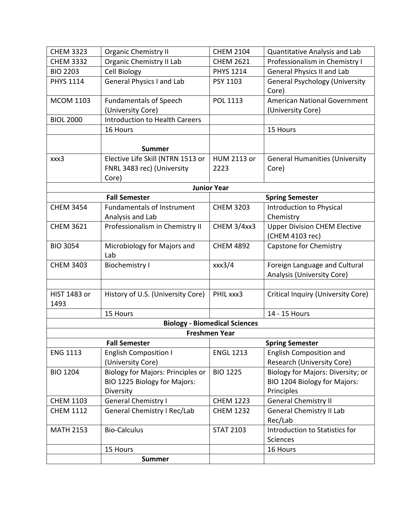| <b>CHEM 3323</b>            | <b>Organic Chemistry II</b>                                                           | <b>CHEM 2104</b>                     | Quantitative Analysis and Lab                                                   |  |  |  |
|-----------------------------|---------------------------------------------------------------------------------------|--------------------------------------|---------------------------------------------------------------------------------|--|--|--|
| <b>CHEM 3332</b>            | Organic Chemistry II Lab                                                              | <b>CHEM 2621</b>                     | Professionalism in Chemistry I                                                  |  |  |  |
| <b>BIO 2203</b>             | Cell Biology                                                                          | <b>PHYS 1214</b>                     | <b>General Physics II and Lab</b>                                               |  |  |  |
| <b>PHYS 1114</b>            | <b>General Physics I and Lab</b>                                                      | PSY 1103                             | <b>General Psychology (University</b><br>Core)                                  |  |  |  |
| <b>MCOM 1103</b>            | <b>Fundamentals of Speech</b><br>(University Core)                                    | POL 1113                             | American National Government<br>(University Core)                               |  |  |  |
| <b>BIOL 2000</b>            | <b>Introduction to Health Careers</b>                                                 |                                      |                                                                                 |  |  |  |
|                             | 16 Hours                                                                              |                                      | 15 Hours                                                                        |  |  |  |
|                             | <b>Summer</b>                                                                         |                                      |                                                                                 |  |  |  |
| xxx3                        | Elective Life Skill (NTRN 1513 or<br>FNRL 3483 rec) (University<br>Core)              | HUM 2113 or<br>2223                  | <b>General Humanities (University</b><br>Core)                                  |  |  |  |
| <b>Junior Year</b>          |                                                                                       |                                      |                                                                                 |  |  |  |
|                             | <b>Fall Semester</b>                                                                  |                                      | <b>Spring Semester</b>                                                          |  |  |  |
| <b>CHEM 3454</b>            | <b>Fundamentals of Instrument</b><br>Analysis and Lab                                 | <b>CHEM 3203</b>                     | <b>Introduction to Physical</b><br>Chemistry                                    |  |  |  |
| <b>CHEM 3621</b>            | Professionalism in Chemistry II                                                       | CHEM 3/4xx3                          | <b>Upper Division CHEM Elective</b><br>(CHEM 4103 rec)                          |  |  |  |
| <b>BIO 3054</b>             | Microbiology for Majors and<br>Lab                                                    | <b>CHEM 4892</b>                     | Capstone for Chemistry                                                          |  |  |  |
| <b>CHEM 3403</b>            | <b>Biochemistry I</b>                                                                 | xxx3/4                               | Foreign Language and Cultural<br>Analysis (University Core)                     |  |  |  |
| <b>HIST 1483 or</b><br>1493 | History of U.S. (University Core)                                                     | PHIL xxx3                            | Critical Inquiry (University Core)                                              |  |  |  |
|                             | 15 Hours                                                                              |                                      | 14 - 15 Hours                                                                   |  |  |  |
|                             |                                                                                       | <b>Biology - Biomedical Sciences</b> |                                                                                 |  |  |  |
|                             |                                                                                       | <b>Freshmen Year</b>                 |                                                                                 |  |  |  |
|                             | <b>Fall Semester</b>                                                                  |                                      | <b>Spring Semester</b>                                                          |  |  |  |
| <b>ENG 1113</b>             | <b>English Composition I</b><br>(University Core)                                     | <b>ENGL 1213</b>                     | <b>English Composition and</b><br>Research (University Core)                    |  |  |  |
| <b>BIO 1204</b>             | <b>Biology for Majors: Principles or</b><br>BIO 1225 Biology for Majors:<br>Diversity | <b>BIO 1225</b>                      | Biology for Majors: Diversity; or<br>BIO 1204 Biology for Majors:<br>Principles |  |  |  |
| <b>CHEM 1103</b>            | <b>General Chemistry I</b>                                                            | <b>CHEM 1223</b>                     | <b>General Chemistry II</b>                                                     |  |  |  |
| <b>CHEM 1112</b>            | General Chemistry I Rec/Lab                                                           | <b>CHEM 1232</b>                     | General Chemistry II Lab<br>Rec/Lab                                             |  |  |  |
| <b>MATH 2153</b>            | <b>Bio-Calculus</b>                                                                   | <b>STAT 2103</b>                     | Introduction to Statistics for<br>Sciences                                      |  |  |  |
|                             | 15 Hours                                                                              |                                      | 16 Hours                                                                        |  |  |  |
|                             | <b>Summer</b>                                                                         |                                      |                                                                                 |  |  |  |